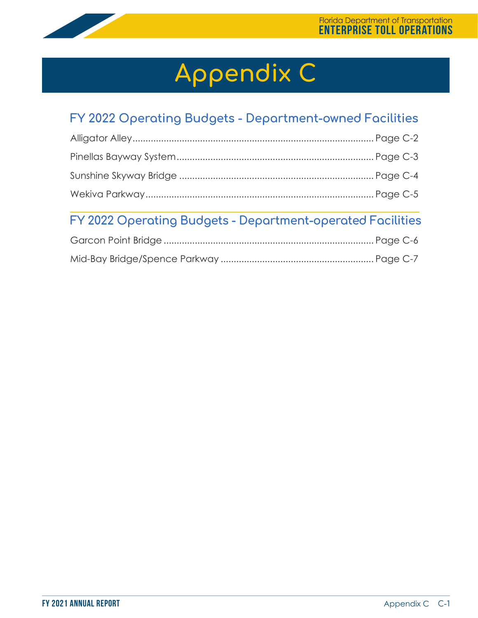

# **Appendix C**

# **FY 2022 Operating Budgets - Department-owned Facilities**

# **FY 2022 Operating Budgets - Department-operated Facilities**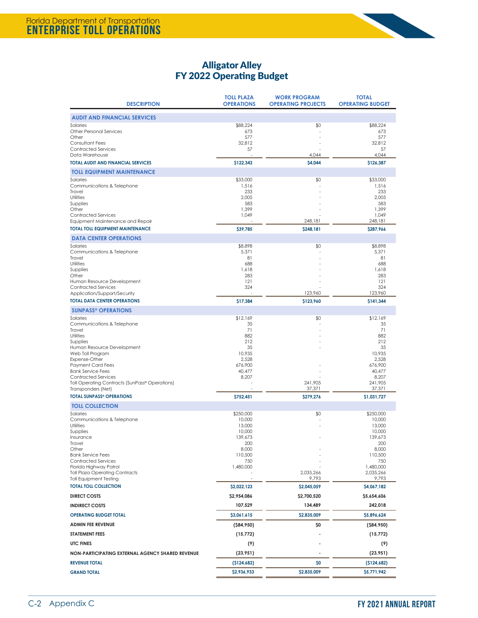

## Alligator Alley FY 2022 Operating Budget

| <b>DESCRIPTION</b>                                                                                                                                                                                                                                                                                                                                                                      | <b>TOLL PLAZA</b><br><b>OPERATIONS</b>                                                                 | <b>WORK PROGRAM</b><br><b>OPERATING PROJECTS</b> | <b>TOTAL</b><br><b>OPERATING BUDGET</b>                                                                                       |
|-----------------------------------------------------------------------------------------------------------------------------------------------------------------------------------------------------------------------------------------------------------------------------------------------------------------------------------------------------------------------------------------|--------------------------------------------------------------------------------------------------------|--------------------------------------------------|-------------------------------------------------------------------------------------------------------------------------------|
| <b>AUDIT AND FINANCIAL SERVICES</b>                                                                                                                                                                                                                                                                                                                                                     |                                                                                                        |                                                  |                                                                                                                               |
| Salaries<br><b>Other Personal Services</b><br>Other<br><b>Consultant Fees</b><br><b>Contracted Services</b>                                                                                                                                                                                                                                                                             | \$88,224<br>673<br>577<br>32,812<br>57                                                                 | \$0                                              | \$88,224<br>673<br>577<br>32,812<br>57                                                                                        |
| Data Warehouse                                                                                                                                                                                                                                                                                                                                                                          |                                                                                                        | 4,044                                            | 4,044                                                                                                                         |
| <b>TOTAL AUDIT AND FINANCIAL SERVICES</b><br><b>TOLL EQUIPMENT MAINTENANCE</b>                                                                                                                                                                                                                                                                                                          | \$122,343                                                                                              | \$4,044                                          | \$126,387                                                                                                                     |
| Salaries<br>Communications & Telephone<br>Travel<br>Utilities<br>Supplies<br>Other<br><b>Contracted Services</b><br>Equipment Maintenance and Repair                                                                                                                                                                                                                                    | \$33,000<br>1,516<br>233<br>2,005<br>583<br>1,399<br>1,049                                             | \$0<br>248,181                                   | \$33,000<br>1,516<br>233<br>2,005<br>583<br>1,399<br>1,049<br>248,181                                                         |
| <b>TOTAL TOLL EQUIPMENT MAINTENANCE</b>                                                                                                                                                                                                                                                                                                                                                 | \$39,785                                                                                               | \$248,181                                        | \$287,966                                                                                                                     |
| <b>DATA CENTER OPERATIONS</b><br>Salaries<br>Communications & Telephone<br>Travel<br>Utilities<br>Supplies<br>Other<br>Human Resource Development<br><b>Contracted Services</b><br>Application/Support/Security                                                                                                                                                                         | \$8,898<br>5,371<br>81<br>688<br>1,618<br>283<br>121<br>324                                            | \$0<br>123,960                                   | \$8,898<br>5,371<br>81<br>688<br>1,618<br>283<br>121<br>324<br>123,960                                                        |
| <b>TOTAL DATA CENTER OPERATIONS</b>                                                                                                                                                                                                                                                                                                                                                     | \$17,384                                                                                               | \$123,960                                        | \$141,344                                                                                                                     |
| <b>SUNPASS<sup>®</sup> OPERATIONS</b><br>Salaries<br>Communications & Telephone<br>Travel<br>Utilities<br>Supplies<br>Human Resource Development<br>Web Toll Program<br>Expense-Other<br><b>Payment Card Fees</b><br><b>Bank Service Fees</b><br><b>Contracted Services</b><br>Toll Operating Contracts (SunPass® Operations)<br>Transponders (Net)<br><b>TOTAL SUNPASS® OPERATIONS</b> | \$12,169<br>35<br>71<br>882<br>212<br>35<br>10,935<br>2,528<br>676,900<br>40,477<br>8,207<br>\$752,451 | \$0<br>241,905<br>37,371<br>\$279,276            | \$12,169<br>35<br>71<br>882<br>212<br>35<br>10,935<br>2,528<br>676,900<br>40,477<br>8,207<br>241,905<br>37,371<br>\$1,031,727 |
| <b>TOLL COLLECTION</b>                                                                                                                                                                                                                                                                                                                                                                  |                                                                                                        |                                                  |                                                                                                                               |
| Salaries<br>Communications & Telephone<br>Utilities<br>Supplies<br>Insurance<br>Travel<br>Other<br><b>Bank Service Fees</b><br><b>Contracted Services</b><br>Florida Highway Patrol<br><b>Toll Plaza Operating Contracts</b><br><b>Toll Equipment Testing</b>                                                                                                                           | \$250,000<br>10,000<br>13,000<br>10,000<br>139,673<br>200<br>8,000<br>110,500<br>750<br>1,480,000      | \$0<br>2,035,266<br>9,793                        | \$250,000<br>10,000<br>13,000<br>10,000<br>139,673<br>200<br>8,000<br>110,500<br>750<br>1,480,000<br>2,035,266<br>9,793       |
| <b>TOTAL TOLL COLLECTION</b>                                                                                                                                                                                                                                                                                                                                                            | \$2,022,123                                                                                            | \$2,045,059                                      | \$4,067,182                                                                                                                   |
| <b>DIRECT COSTS</b>                                                                                                                                                                                                                                                                                                                                                                     | \$2,954,086                                                                                            | \$2,700,520                                      | \$5,654,606                                                                                                                   |
| <b>INDIRECT COSTS</b><br><b>OPERATING BUDGET TOTAL</b>                                                                                                                                                                                                                                                                                                                                  | 107,529<br>\$3,061,615                                                                                 | 134,489<br>\$2,835,009                           | 242,018<br>\$5,896,624                                                                                                        |
| <b>ADMIN FEE REVENUE</b>                                                                                                                                                                                                                                                                                                                                                                | ( \$84, 950)                                                                                           | \$0                                              | $($ \$84,950)                                                                                                                 |
| <b>STATEMENT FEES</b>                                                                                                                                                                                                                                                                                                                                                                   | (15, 772)                                                                                              |                                                  | (15, 772)                                                                                                                     |
| UTC FINES                                                                                                                                                                                                                                                                                                                                                                               | (9)                                                                                                    |                                                  | (9)                                                                                                                           |
| NON-PARTICIPATING EXTERNAL AGENCY SHARED REVENUE                                                                                                                                                                                                                                                                                                                                        | (23, 951)                                                                                              |                                                  | (23, 951)                                                                                                                     |
| <b>REVENUE TOTAL</b>                                                                                                                                                                                                                                                                                                                                                                    | (\$124,682)                                                                                            | \$0                                              | (5124,682)                                                                                                                    |
| <b>GRAND TOTAL</b>                                                                                                                                                                                                                                                                                                                                                                      | \$2,936,933                                                                                            | \$2,835,009                                      | \$5,771,942                                                                                                                   |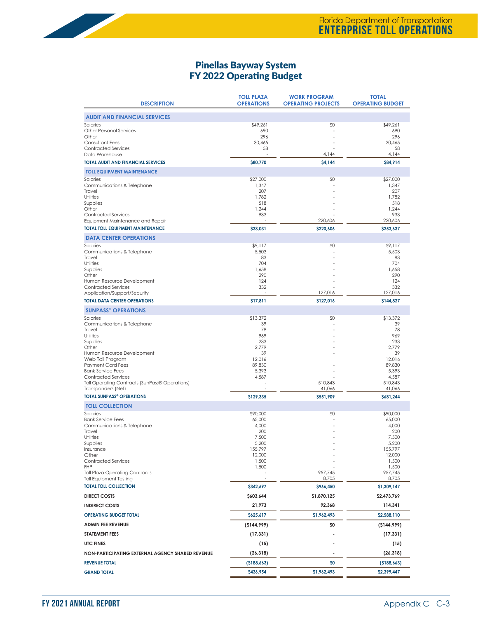#### Pinellas Bayway System FY 2022 Operating Budget

| <b>DESCRIPTION</b>                                                                                                                                                                                                                                                                                                               | <b>TOLL PLAZA</b><br><b>OPERATIONS</b>                                                      | <b>WORK PROGRAM</b><br><b>OPERATING PROJECTS</b> | <b>TOTAL</b><br><b>OPERATING BUDGET</b>                                                                         |
|----------------------------------------------------------------------------------------------------------------------------------------------------------------------------------------------------------------------------------------------------------------------------------------------------------------------------------|---------------------------------------------------------------------------------------------|--------------------------------------------------|-----------------------------------------------------------------------------------------------------------------|
| <b>AUDIT AND FINANCIAL SERVICES</b>                                                                                                                                                                                                                                                                                              |                                                                                             |                                                  |                                                                                                                 |
| Salaries<br><b>Other Personal Services</b><br>Other<br><b>Consultant Fees</b><br><b>Contracted Services</b>                                                                                                                                                                                                                      | \$49,261<br>690<br>296<br>30,465<br>58                                                      | \$0                                              | \$49,261<br>690<br>296<br>30.465<br>58                                                                          |
| Data Warehouse<br><b>TOTAL AUDIT AND FINANCIAL SERVICES</b>                                                                                                                                                                                                                                                                      | \$80,770                                                                                    | 4,144<br>\$4,144                                 | 4,144<br>\$84,914                                                                                               |
| <b>TOLL EQUIPMENT MAINTENANCE</b>                                                                                                                                                                                                                                                                                                |                                                                                             |                                                  |                                                                                                                 |
| Salaries<br>Communications & Telephone<br>Travel<br>Utilities<br>Supplies<br>Other<br><b>Contracted Services</b><br>Equipment Maintenance and Repair                                                                                                                                                                             | \$27,000<br>1,347<br>207<br>1,782<br>518<br>1,244<br>933                                    | \$0<br>220,606                                   | \$27,000<br>1,347<br>207<br>1,782<br>518<br>1,244<br>933<br>220,606                                             |
| <b>TOTAL TOLL EQUIPMENT MAINTENANCE</b>                                                                                                                                                                                                                                                                                          | \$33,031                                                                                    | \$220,606                                        | \$253,637                                                                                                       |
| <b>DATA CENTER OPERATIONS</b><br>Salaries<br>Communications & Telephone<br>Travel<br>Utilities<br>Supplies<br>Other<br>Human Resource Development<br><b>Contracted Services</b><br>Application/Support/Security                                                                                                                  | \$9,117<br>5,503<br>83<br>704<br>1,658<br>290<br>124<br>332                                 | \$0<br>127,016                                   | \$9,117<br>5,503<br>83<br>704<br>1,658<br>290<br>124<br>332<br>127,016                                          |
| <b>TOTAL DATA CENTER OPERATIONS</b>                                                                                                                                                                                                                                                                                              | \$17,811                                                                                    | \$127,016                                        | \$144,827                                                                                                       |
| <b>SUNPASS® OPERATIONS</b><br>Salaries<br>Communications & Telephone<br>Travel<br>Utilities<br>Supplies<br>Other<br>Human Resource Development<br>Web Toll Program<br><b>Payment Card Fees</b><br><b>Bank Service Fees</b><br><b>Contracted Services</b><br>Toll Operating Contracts (SunPass® Operations)<br>Transponders (Net) | \$13,372<br>39<br>78<br>969<br>233<br>2,779<br>39<br>12,016<br>89,830<br>5,393<br>4,587     | \$0<br>510,843<br>41,066                         | \$13,372<br>39<br>78<br>969<br>233<br>2,779<br>39<br>12,016<br>89,830<br>5,393<br>4,587<br>510,843<br>41,066    |
| <b>TOTAL SUNPASS® OPERATIONS</b>                                                                                                                                                                                                                                                                                                 | \$129,335                                                                                   | \$551,909                                        | \$681,244                                                                                                       |
| <b>TOLL COLLECTION</b><br>Salaries<br><b>Bank Service Fees</b><br>Communications & Telephone<br>Travel<br>Utilities<br>Supplies<br>Insurance<br>Other<br><b>Contracted Services</b><br><b>FHP</b><br><b>Toll Plaza Operating Contracts</b><br><b>Toll Equipment Testing</b>                                                      | \$90,000<br>65,000<br>4,000<br>200<br>7,500<br>5,200<br>155,797<br>12,000<br>1,500<br>1,500 | \$0<br>957,745<br>8,705                          | \$90,000<br>65,000<br>4,000<br>200<br>7,500<br>5,200<br>155,797<br>12,000<br>1,500<br>1,500<br>957,745<br>8,705 |
| <b>TOTAL TOLL COLLECTION</b>                                                                                                                                                                                                                                                                                                     | \$342,697                                                                                   | \$966,450                                        | \$1,309,147                                                                                                     |
| <b>DIRECT COSTS</b>                                                                                                                                                                                                                                                                                                              | \$603,644                                                                                   | \$1,870,125                                      | \$2,473,769                                                                                                     |
| <b>INDIRECT COSTS</b>                                                                                                                                                                                                                                                                                                            | 21,973                                                                                      | 92,368                                           | 114,341                                                                                                         |
| <b>OPERATING BUDGET TOTAL</b>                                                                                                                                                                                                                                                                                                    | \$625,617                                                                                   | \$1,962,493                                      | \$2,588,110                                                                                                     |
| <b>ADMIN FEE REVENUE</b>                                                                                                                                                                                                                                                                                                         | (5144, 999)                                                                                 | \$0                                              | (5144, 999)                                                                                                     |
| <b>STATEMENT FEES</b>                                                                                                                                                                                                                                                                                                            | (17, 331)                                                                                   |                                                  | (17, 331)                                                                                                       |
| UTC FINES                                                                                                                                                                                                                                                                                                                        | (15)                                                                                        |                                                  | (15)                                                                                                            |
| NON-PARTICIPATING EXTERNAL AGENCY SHARED REVENUE                                                                                                                                                                                                                                                                                 | (26, 318)                                                                                   |                                                  | (26, 318)                                                                                                       |
| <b>REVENUE TOTAL</b><br><b>GRAND TOTAL</b>                                                                                                                                                                                                                                                                                       | (\$188,663)<br>\$436,954                                                                    | \$0<br>\$1,962,493                               | (\$188,663)<br>\$2,399,447                                                                                      |
|                                                                                                                                                                                                                                                                                                                                  |                                                                                             |                                                  |                                                                                                                 |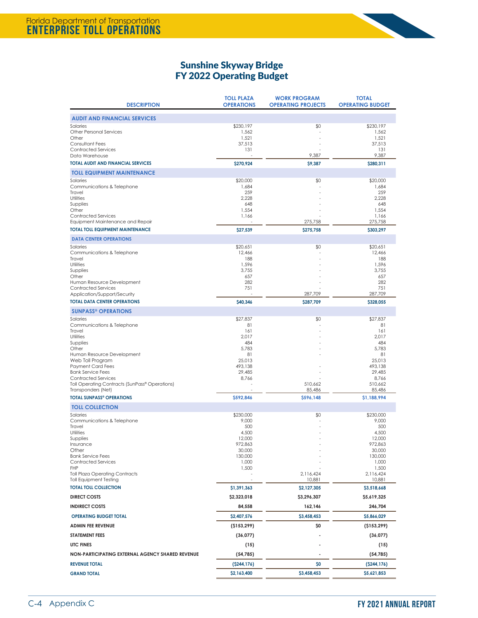

## Sunshine Skyway Bridge FY 2022 Operating Budget

| <b>DESCRIPTION</b>                                                                                                                                                                                                                                                                                                                          | <b>TOLL PLAZA</b><br><b>OPERATIONS</b>                                                         | <b>WORK PROGRAM</b><br><b>OPERATING PROJECTS</b> | <b>TOTAL</b><br><b>OPERATING BUDGET</b>                                                                           |
|---------------------------------------------------------------------------------------------------------------------------------------------------------------------------------------------------------------------------------------------------------------------------------------------------------------------------------------------|------------------------------------------------------------------------------------------------|--------------------------------------------------|-------------------------------------------------------------------------------------------------------------------|
| <b>AUDIT AND FINANCIAL SERVICES</b>                                                                                                                                                                                                                                                                                                         |                                                                                                |                                                  |                                                                                                                   |
| Salaries<br><b>Other Personal Services</b><br>Other<br><b>Consultant Fees</b><br><b>Contracted Services</b><br>Data Warehouse                                                                                                                                                                                                               | \$230,197<br>1,562<br>1,521<br>37,513<br>131                                                   | \$0<br>9,387                                     | \$230,197<br>1,562<br>1,521<br>37,513<br>131<br>9,387                                                             |
| <b>TOTAL AUDIT AND FINANCIAL SERVICES</b>                                                                                                                                                                                                                                                                                                   | \$270,924                                                                                      | \$9,387                                          | \$280,311                                                                                                         |
| <b>TOLL EQUIPMENT MAINTENANCE</b>                                                                                                                                                                                                                                                                                                           |                                                                                                |                                                  |                                                                                                                   |
| Salaries<br>Communications & Telephone<br>Travel<br>Utilities<br>Supplies<br>Other<br><b>Contracted Services</b><br>Equipment Maintenance and Repair                                                                                                                                                                                        | \$20,000<br>1,684<br>259<br>2,228<br>648<br>1,554<br>1,166                                     | \$0<br>275,758                                   | \$20,000<br>1,684<br>259<br>2,228<br>648<br>1,554<br>1,166<br>275,758                                             |
| <b>TOTAL TOLL EQUIPMENT MAINTENANCE</b>                                                                                                                                                                                                                                                                                                     | \$27,539                                                                                       | \$275,758                                        | \$303,297                                                                                                         |
| <b>DATA CENTER OPERATIONS</b><br>Salaries<br>Communications & Telephone<br>Travel<br>Utilities<br>Supplies<br>Other<br>Human Resource Development<br><b>Contracted Services</b><br>Application/Support/Security                                                                                                                             | \$20,651<br>12,466<br>188<br>1,596<br>3,755<br>657<br>282<br>751                               | \$0<br>287,709                                   | \$20,651<br>12,466<br>188<br>1,596<br>3,755<br>657<br>282<br>751<br>287,709                                       |
| <b>TOTAL DATA CENTER OPERATIONS</b>                                                                                                                                                                                                                                                                                                         | \$40,346                                                                                       | \$287,709                                        | \$328,055                                                                                                         |
| <b>SUNPASS<sup>®</sup> OPERATIONS</b><br>Salaries<br>Communications & Telephone<br>Travel<br>Utilities<br>Supplies<br>Other<br>Human Resource Development<br>Web Toll Program<br><b>Payment Card Fees</b><br><b>Bank Service Fees</b><br><b>Contracted Services</b><br>Toll Operating Contracts (SunPass® Operations)<br>Transponders (Net) | \$27,837<br>81<br>161<br>2,017<br>484<br>5,783<br>81<br>25,013<br>493,138<br>29,485<br>8,766   | \$0<br>510,662<br>85,486                         | \$27,837<br>81<br>161<br>2,017<br>484<br>5,783<br>81<br>25,013<br>493,138<br>29,485<br>8,766<br>510,662<br>85,486 |
| <b>TOTAL SUNPASS® OPERATIONS</b>                                                                                                                                                                                                                                                                                                            | \$592,846                                                                                      | \$596,148                                        | \$1,188,994                                                                                                       |
| <b>TOLL COLLECTION</b><br>Salaries<br>Communications & Telephone<br>Travel<br>Utilities<br>Supplies<br><i><u><b>Insurance</b></u></i><br>Other<br><b>Bank Service Fees</b><br><b>Contracted Services</b><br><b>FHP</b><br><b>Toll Plaza Operating Contracts</b>                                                                             | \$230,000<br>9,000<br>500<br>4,500<br>12,000<br>972,863<br>30,000<br>130,000<br>1,000<br>1,500 | \$0<br>2,116,424                                 | \$230,000<br>9,000<br>500<br>4,500<br>12,000<br>972,863<br>30,000<br>130,000<br>1,000<br>1,500<br>2,116,424       |
| <b>Toll Equipment Testing</b><br><b>TOTAL TOLL COLLECTION</b>                                                                                                                                                                                                                                                                               | \$1,391,363                                                                                    | 10,881<br>\$2,127,305                            | 10,881<br>\$3,518,668                                                                                             |
| <b>DIRECT COSTS</b>                                                                                                                                                                                                                                                                                                                         | \$2,323,018                                                                                    | \$3,296,307                                      | \$5,619,325                                                                                                       |
| <b>INDIRECT COSTS</b>                                                                                                                                                                                                                                                                                                                       | 84,558                                                                                         | 162,146                                          | 246,704                                                                                                           |
| <b>OPERATING BUDGET TOTAL</b>                                                                                                                                                                                                                                                                                                               | \$2,407,576                                                                                    | \$3,458,453                                      | \$5,866,029                                                                                                       |
| <b>ADMIN FEE REVENUE</b>                                                                                                                                                                                                                                                                                                                    | (\$153,299)                                                                                    | \$0                                              | (\$153,299)                                                                                                       |
| <b>STATEMENT FEES</b>                                                                                                                                                                                                                                                                                                                       | (36, 077)                                                                                      |                                                  | (36, 077)                                                                                                         |
| <b>UTC FINES</b>                                                                                                                                                                                                                                                                                                                            | (15)                                                                                           |                                                  | (15)                                                                                                              |
| NON-PARTICIPATING EXTERNAL AGENCY SHARED REVENUE                                                                                                                                                                                                                                                                                            | (54, 785)                                                                                      |                                                  | (54, 785)                                                                                                         |
| <b>REVENUE TOTAL</b>                                                                                                                                                                                                                                                                                                                        | (5244, 176)                                                                                    | \$0                                              | (5244, 176)                                                                                                       |
| <b>GRAND TOTAL</b>                                                                                                                                                                                                                                                                                                                          | \$2,163,400                                                                                    | \$3,458,453                                      | \$5,621,853                                                                                                       |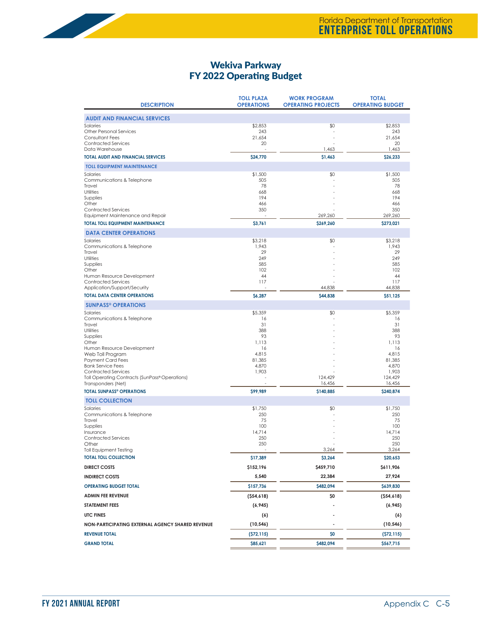#### Wekiva Parkway FY 2022 Operating Budget

| <b>DESCRIPTION</b>                                         | <b>TOLL PLAZA</b><br><b>OPERATIONS</b> | <b>WORK PROGRAM</b><br><b>OPERATING PROJECTS</b> | <b>TOTAL</b><br><b>OPERATING BUDGET</b> |
|------------------------------------------------------------|----------------------------------------|--------------------------------------------------|-----------------------------------------|
| <b>AUDIT AND FINANCIAL SERVICES</b>                        |                                        |                                                  |                                         |
| Salaries                                                   | \$2,853                                | \$0                                              | \$2,853                                 |
| <b>Other Personal Services</b><br>Consultant Fees          | 243<br>21,654                          |                                                  | 243<br>21,654                           |
| <b>Contracted Services</b>                                 | 20                                     |                                                  | 20                                      |
| Data Warehouse                                             |                                        | 1,463                                            | 1,463                                   |
| <b>TOTAL AUDIT AND FINANCIAL SERVICES</b>                  | \$24,770                               | \$1,463                                          | \$26,233                                |
| <b>TOLL EQUIPMENT MAINTENANCE</b>                          |                                        |                                                  |                                         |
| Salaries<br>Communications & Telephone                     | \$1,500<br>505                         | \$0                                              | \$1,500<br>505                          |
| Travel                                                     | 78                                     |                                                  | 78                                      |
| Utilities                                                  | 668                                    |                                                  | 668                                     |
| Supplies<br>Other                                          | 194<br>466                             |                                                  | 194<br>466                              |
| <b>Contracted Services</b>                                 | 350                                    |                                                  | 350                                     |
| Equipment Maintenance and Repair                           |                                        | 269,260                                          | 269,260                                 |
| <b>TOTAL TOLL EQUIPMENT MAINTENANCE</b>                    | \$3,761                                | \$269,260                                        | \$273,021                               |
| <b>DATA CENTER OPERATIONS</b><br>Salaries                  |                                        |                                                  |                                         |
| Communications & Telephone                                 | \$3,218<br>1,943                       | \$0                                              | \$3,218<br>1,943                        |
| Travel                                                     | 29                                     |                                                  | 29                                      |
| Utilities<br>Supplies                                      | 249<br>585                             |                                                  | 249<br>585                              |
| Other                                                      | 102                                    |                                                  | 102                                     |
| Human Resource Development                                 | 44                                     |                                                  | 44                                      |
| <b>Contracted Services</b><br>Application/Support/Security | 117                                    | 44,838                                           | 117<br>44,838                           |
| <b>TOTAL DATA CENTER OPERATIONS</b>                        | \$6,287                                | \$44,838                                         | \$51,125                                |
| <b>SUNPASS® OPERATIONS</b>                                 |                                        |                                                  |                                         |
| Salaries                                                   | \$5,359                                | \$0                                              | \$5,359                                 |
| Communications & Telephone                                 | 16<br>31                               |                                                  | 16<br>31                                |
| Travel<br>Utilities                                        | 388                                    |                                                  | 388                                     |
| Supplies                                                   | 93                                     |                                                  | 93                                      |
| Other<br>Human Resource Development                        | 1,113<br>16                            |                                                  | 1.113<br>16                             |
| Web Toll Program                                           | 4,815                                  |                                                  | 4,815                                   |
| <b>Payment Card Fees</b><br><b>Bank Service Fees</b>       | 81,385                                 |                                                  | 81,385                                  |
| <b>Contracted Services</b>                                 | 4,870<br>1,903                         |                                                  | 4,870<br>1,903                          |
| Toll Operating Contracts (SunPass® Operations)             |                                        | 124,429                                          | 124,429                                 |
| Transponders (Net)<br><b>TOTAL SUNPASS® OPERATIONS</b>     |                                        | 16,456                                           | 16,456                                  |
|                                                            | \$99,989                               | \$140,885                                        | \$240,874                               |
| <b>TOLL COLLECTION</b><br>Salaries                         | \$1,750                                | \$0                                              | \$1,750                                 |
| Communications & Telephone                                 | 250                                    |                                                  | 250                                     |
| Travel                                                     | 75                                     |                                                  | 75                                      |
| Supplies<br>Insurance                                      | 100<br>14,714                          |                                                  | 100<br>14,714                           |
| <b>Contracted Services</b>                                 | 250                                    |                                                  | 250                                     |
| Other<br><b>Toll Equipment Testing</b>                     | 250                                    | 3,264                                            | 250<br>3,264                            |
| <b>TOTAL TOLL COLLECTION</b>                               | \$17,389                               | \$3,264                                          | \$20,653                                |
| <b>DIRECT COSTS</b>                                        | \$152,196                              | \$459,710                                        | \$611,906                               |
| <b>INDIRECT COSTS</b>                                      | 5,540                                  | 22,384                                           | 27,924                                  |
| <b>OPERATING BUDGET TOTAL</b>                              | \$157,736                              | \$482,094                                        | \$639,830                               |
| <b>ADMIN FEE REVENUE</b>                                   | (554,618)                              | \$0                                              | (554,618)                               |
| <b>STATEMENT FEES</b>                                      | (6, 945)                               |                                                  | (6, 945)                                |
| <b>UTC FINES</b>                                           | (6)                                    |                                                  | (6)                                     |
| NON-PARTICIPATING EXTERNAL AGENCY SHARED REVENUE           | (10, 546)                              |                                                  | (10, 546)                               |
| <b>REVENUE TOTAL</b>                                       | (572, 115)                             | \$0                                              | (572, 115)                              |
| <b>GRAND TOTAL</b>                                         | \$85,621                               | \$482,094                                        | \$567,715                               |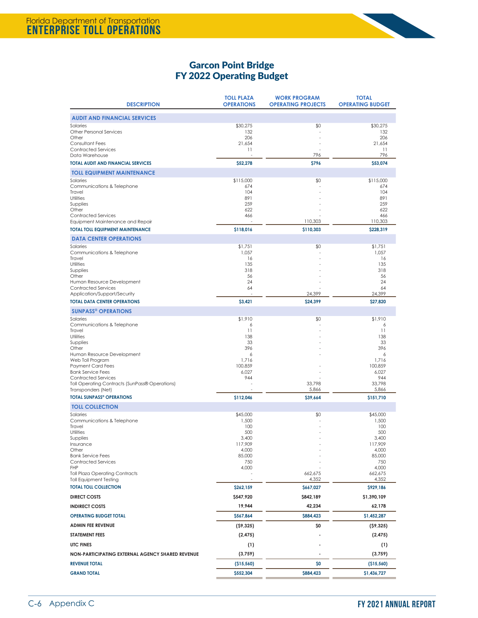

## Garcon Point Bridge FY 2022 Operating Budget

| <b>DESCRIPTION</b>                                                          | <b>TOLL PLAZA</b><br><b>OPERATIONS</b> | <b>WORK PROGRAM</b><br><b>OPERATING PROJECTS</b> | <b>TOTAL</b><br><b>OPERATING BUDGET</b> |
|-----------------------------------------------------------------------------|----------------------------------------|--------------------------------------------------|-----------------------------------------|
| <b>AUDIT AND FINANCIAL SERVICES</b>                                         |                                        |                                                  |                                         |
| Salaries<br><b>Other Personal Services</b>                                  | \$30,275<br>132                        | \$0                                              | \$30,275<br>132                         |
| Other<br><b>Consultant Fees</b>                                             | 206<br>21,654                          |                                                  | 206<br>21,654                           |
| <b>Contracted Services</b>                                                  | 11                                     |                                                  | 11                                      |
| Data Warehouse<br><b>TOTAL AUDIT AND FINANCIAL SERVICES</b>                 | \$52,278                               | 796<br><b>S796</b>                               | 796<br>\$53,074                         |
| <b>TOLL EQUIPMENT MAINTENANCE</b>                                           |                                        |                                                  |                                         |
| Salaries                                                                    | \$115,000                              | \$0                                              | \$115,000                               |
| Communications & Telephone<br>Travel                                        | 674<br>104                             |                                                  | 674<br>104                              |
| Utilities                                                                   | 891                                    |                                                  | 891                                     |
| Supplies<br>Other                                                           | 259<br>622                             |                                                  | 259<br>622                              |
| <b>Contracted Services</b>                                                  | 466                                    |                                                  | 466                                     |
| Equipment Maintenance and Repair<br><b>TOTAL TOLL EQUIPMENT MAINTENANCE</b> | \$118,016                              | 110,303<br>\$110,303                             | 110,303<br>\$228,319                    |
| <b>DATA CENTER OPERATIONS</b>                                               |                                        |                                                  |                                         |
| Salaries                                                                    | \$1,751                                | \$0                                              | \$1,751                                 |
| Communications & Telephone                                                  | 1,057                                  |                                                  | 1,057                                   |
| Travel<br>Utilities                                                         | 16<br>135                              |                                                  | 16<br>135                               |
| Supplies<br>Other                                                           | 318<br>56                              |                                                  | 318<br>56                               |
| Human Resource Development                                                  | 24                                     |                                                  | 24                                      |
| <b>Contracted Services</b><br>Application/Support/Security                  | 64                                     | 24,399                                           | 64<br>24,399                            |
| <b>TOTAL DATA CENTER OPERATIONS</b>                                         | \$3,421                                | \$24,399                                         | \$27,820                                |
| <b>SUNPASS<sup>®</sup> OPERATIONS</b>                                       |                                        |                                                  |                                         |
| Salaries                                                                    | \$1,910                                | \$0                                              | \$1,910                                 |
| Communications & Telephone<br>Travel                                        | 6<br>11                                |                                                  | 6<br>11                                 |
| Utilities<br>Supplies                                                       | 138<br>33                              |                                                  | 138<br>33                               |
| Other                                                                       | 396                                    |                                                  | 396                                     |
| Human Resource Development<br>Web Toll Program                              | 6<br>1,716                             |                                                  | 6<br>1,716                              |
| <b>Payment Card Fees</b>                                                    | 100,859                                |                                                  | 100,859                                 |
| <b>Bank Service Fees</b><br><b>Contracted Services</b>                      | 6,027<br>944                           |                                                  | 6,027<br>944                            |
| Toll Operating Contracts (SunPass® Operations)                              |                                        | 33,798                                           | 33,798                                  |
| Transponders (Net)<br><b>TOTAL SUNPASS® OPERATIONS</b>                      | \$112,046                              | 5,866<br>\$39,664                                | 5,866<br>\$151,710                      |
| <b>TOLL COLLECTION</b>                                                      |                                        |                                                  |                                         |
| Salaries                                                                    | \$45,000                               | \$0                                              | \$45,000                                |
| Communications & Telephone<br>Travel                                        | 1,500<br>100                           |                                                  | 1,500<br>100                            |
| Utilities                                                                   | 500                                    |                                                  | 500                                     |
| Supplies<br>insurance                                                       | 3,400<br>117,909                       |                                                  | 3,400<br>117,909                        |
| Other                                                                       | 4,000                                  |                                                  | 4,000                                   |
| <b>Bank Service Fees</b><br><b>Contracted Services</b>                      | 85,000<br>750                          |                                                  | 85,000<br>750                           |
| <b>FHP</b><br><b>Toll Plaza Operating Contracts</b>                         | 4,000                                  | 662,675                                          | 4,000<br>662,675                        |
| <b>Toll Equipment Testing</b>                                               |                                        | 4,352                                            | 4,352                                   |
| <b>TOTAL TOLL COLLECTION</b>                                                | \$262,159                              | \$667,027                                        | \$929,186                               |
| <b>DIRECT COSTS</b>                                                         | \$547,920                              | \$842,189                                        | \$1,390,109                             |
| <b>INDIRECT COSTS</b>                                                       | 19,944                                 | 42,234                                           | 62,178                                  |
| <b>OPERATING BUDGET TOTAL</b>                                               | \$567,864                              | \$884,423                                        | \$1,452,287                             |
| <b>ADMIN FEE REVENUE</b>                                                    | (59, 325)                              | \$0                                              | (59, 325)                               |
| <b>STATEMENT FEES</b>                                                       | (2, 475)                               |                                                  | (2, 475)                                |
| <b>UTC FINES</b>                                                            | (1)                                    |                                                  | (1)                                     |
| NON-PARTICIPATING EXTERNAL AGENCY SHARED REVENUE                            | (3,759)                                |                                                  | (3,759)                                 |
| <b>REVENUE TOTAL</b>                                                        | (\$15,560)                             | \$0                                              | (\$15,560)                              |
| <b>GRAND TOTAL</b>                                                          | \$552,304                              | \$884,423                                        | \$1,436,727                             |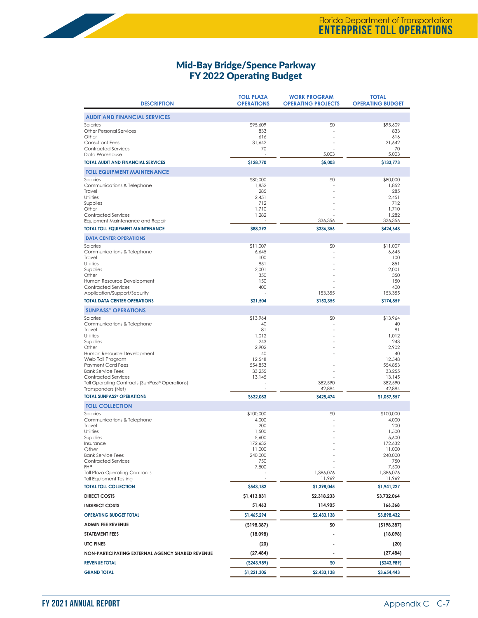#### Mid-Bay Bridge/Spence Parkway FY 2022 Operating Budget

| <b>DESCRIPTION</b>                                                   | <b>TOLL PLAZA</b><br><b>OPERATIONS</b> | <b>WORK PROGRAM</b><br><b>OPERATING PROJECTS</b> | <b>TOTAL</b><br><b>OPERATING BUDGET</b> |
|----------------------------------------------------------------------|----------------------------------------|--------------------------------------------------|-----------------------------------------|
| <b>AUDIT AND FINANCIAL SERVICES</b>                                  |                                        |                                                  |                                         |
| Salaries                                                             | \$95,609                               | \$0                                              | \$95,609                                |
| <b>Other Personal Services</b>                                       | 833                                    |                                                  | 833                                     |
| Other<br><b>Consultant Fees</b>                                      | 616<br>31,642                          |                                                  | 616<br>31,642                           |
| <b>Contracted Services</b>                                           | 70                                     |                                                  | 70                                      |
| Data Warehouse                                                       |                                        | 5,003                                            | 5,003                                   |
| <b>TOTAL AUDIT AND FINANCIAL SERVICES</b>                            | \$128,770                              | \$5,003                                          | \$133,773                               |
| <b>TOLL EQUIPMENT MAINTENANCE</b><br>Salaries                        |                                        |                                                  |                                         |
| Communications & Telephone                                           | \$80,000<br>1,852                      | \$0                                              | \$80,000<br>1,852                       |
| Travel                                                               | 285                                    |                                                  | 285                                     |
| Utilities<br>Supplies                                                | 2,451<br>712                           |                                                  | 2,451<br>712                            |
| Other                                                                | 1,710                                  |                                                  | 1,710                                   |
| <b>Contracted Services</b>                                           | 1,282                                  |                                                  | 1,282                                   |
| Equipment Maintenance and Repair                                     |                                        | 336,356                                          | 336,356                                 |
| <b>TOTAL TOLL EQUIPMENT MAINTENANCE</b>                              | \$88,292                               | \$336,356                                        | \$424,648                               |
| <b>DATA CENTER OPERATIONS</b>                                        |                                        |                                                  |                                         |
| Salaries<br>Communications & Telephone                               | \$11,007<br>6,645                      | \$0                                              | \$11,007<br>6,645                       |
| Travel                                                               | 100                                    |                                                  | 100                                     |
| Utilities                                                            | 851                                    |                                                  | 851                                     |
| Supplies<br>Other                                                    | 2,001<br>350                           |                                                  | 2,001<br>350                            |
| Human Resource Development                                           | 150                                    |                                                  | 150                                     |
| <b>Contracted Services</b>                                           | 400                                    |                                                  | 400                                     |
| Application/Support/Security                                         |                                        | 153,355                                          | 153,355                                 |
| <b>TOTAL DATA CENTER OPERATIONS</b>                                  | \$21,504                               | \$153,355                                        | \$174,859                               |
| <b>SUNPASS® OPERATIONS</b><br>Salaries                               | \$13,964                               | \$0                                              | \$13,964                                |
| Communications & Telephone                                           | 40                                     |                                                  | 40                                      |
| Travel                                                               | 81                                     |                                                  | 81                                      |
| Utilities<br>Supplies                                                | 1,012<br>243                           |                                                  | 1,012<br>243                            |
| Other                                                                | 2,902                                  |                                                  | 2,902                                   |
| Human Resource Development                                           | 40                                     |                                                  | 40                                      |
| Web Toll Program<br><b>Payment Card Fees</b>                         | 12,548<br>554,853                      |                                                  | 12,548<br>554,853                       |
| <b>Bank Service Fees</b>                                             | 33,255                                 |                                                  | 33,255                                  |
| <b>Contracted Services</b>                                           | 13,145                                 |                                                  | 13,145                                  |
| Toll Operating Contracts (SunPass® Operations)<br>Transponders (Net) |                                        | 382,590<br>42,884                                | 382,590<br>42,884                       |
| <b>TOTAL SUNPASS® OPERATIONS</b>                                     | \$632,083                              | \$425,474                                        | \$1,057,557                             |
| <b>TOLL COLLECTION</b>                                               |                                        |                                                  |                                         |
| Salaries                                                             | \$100,000                              | \$0                                              | \$100,000                               |
| Communications & Telephone                                           | 4,000                                  |                                                  | 4,000                                   |
| Travel<br>Utilities                                                  | 200<br>1,500                           |                                                  | 200<br>1,500                            |
| Supplies                                                             | 5,600                                  |                                                  | 5,600                                   |
| Insurance                                                            | 172,632                                |                                                  | 172,632                                 |
| Other<br><b>Bank Service Fees</b>                                    | 11,000<br>240,000                      |                                                  | 11,000<br>240,000                       |
| <b>Contracted Services</b>                                           | 750                                    |                                                  | 750                                     |
| <b>FHP</b><br><b>Toll Plaza Operating Contracts</b>                  | 7,500                                  | 1,386,076                                        | 7,500<br>1,386,076                      |
| <b>Toll Equipment Testing</b>                                        |                                        | 11,969                                           | 11,969                                  |
| <b>TOTAL TOLL COLLECTION</b>                                         | \$543,182                              | \$1,398,045                                      | \$1,941,227                             |
| <b>DIRECT COSTS</b>                                                  | \$1,413,831                            | \$2,318,233                                      | \$3,732,064                             |
| <b>INDIRECT COSTS</b>                                                | 51,463                                 | 114,905                                          | 166,368                                 |
| <b>OPERATING BUDGET TOTAL</b>                                        | \$1,465,294                            | \$2,433,138                                      | \$3,898,432                             |
| <b>ADMIN FEE REVENUE</b>                                             | (\$198,387)                            | \$0                                              | (\$198,387)                             |
| <b>STATEMENT FEES</b>                                                | (18,098)                               |                                                  | (18,098)                                |
| <b>UTC FINES</b>                                                     | (20)                                   |                                                  | (20)                                    |
| NON-PARTICIPATING EXTERNAL AGENCY SHARED REVENUE                     | (27, 484)                              |                                                  | (27, 484)                               |
| <b>REVENUE TOTAL</b>                                                 | ( \$243,989)                           | \$0                                              | (5243,989)                              |
| <b>GRAND TOTAL</b>                                                   | \$1,221,305                            | \$2,433,138                                      | \$3,654,443                             |